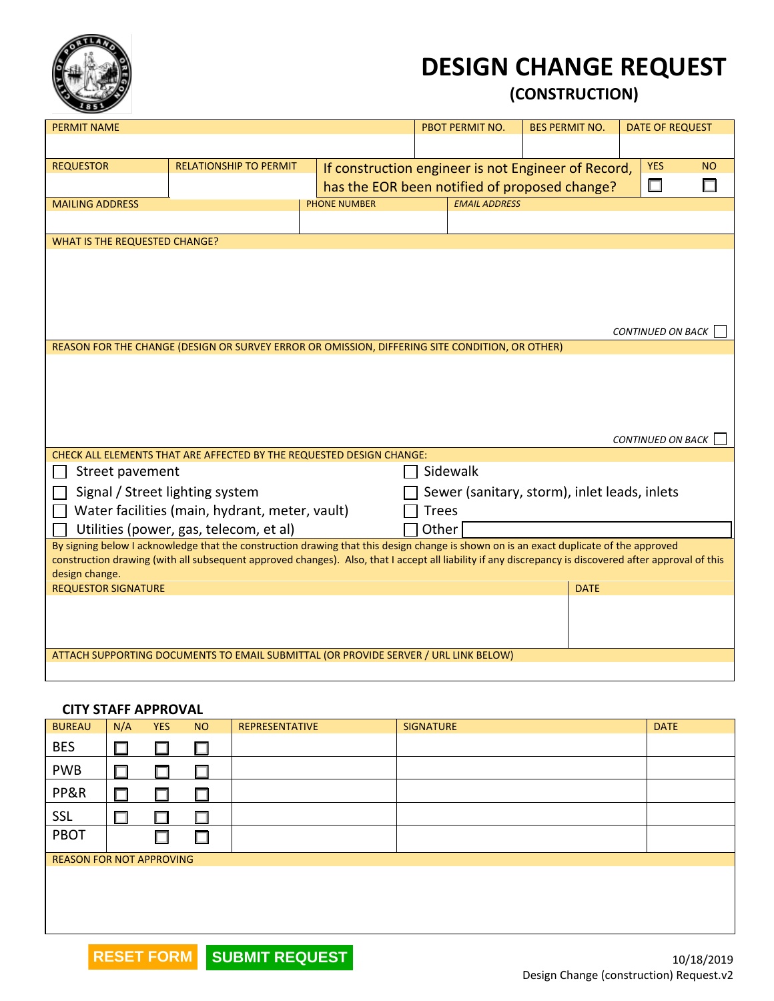

## **DESIGN CHANGE REQUEST**

**(CONSTRUCTION)**

| <b>PERMIT NAME</b>                           |                                                                                                                                                        |                     | <b>PBOT PERMIT NO.</b>                              | <b>BES PERMIT NO.</b> | <b>DATE OF REQUEST</b>   |           |
|----------------------------------------------|--------------------------------------------------------------------------------------------------------------------------------------------------------|---------------------|-----------------------------------------------------|-----------------------|--------------------------|-----------|
|                                              |                                                                                                                                                        |                     |                                                     |                       |                          |           |
| <b>REQUESTOR</b>                             | <b>RELATIONSHIP TO PERMIT</b>                                                                                                                          |                     | If construction engineer is not Engineer of Record, |                       | <b>YES</b>               | <b>NO</b> |
|                                              |                                                                                                                                                        |                     | has the EOR been notified of proposed change?       |                       | $\Box$                   |           |
| <b>MAILING ADDRESS</b>                       |                                                                                                                                                        | <b>PHONE NUMBER</b> | <b>EMAIL ADDRESS</b>                                |                       |                          |           |
|                                              |                                                                                                                                                        |                     |                                                     |                       |                          |           |
| <b>WHAT IS THE REQUESTED CHANGE?</b>         |                                                                                                                                                        |                     |                                                     |                       |                          |           |
|                                              |                                                                                                                                                        |                     |                                                     |                       |                          |           |
|                                              |                                                                                                                                                        |                     |                                                     |                       |                          |           |
|                                              |                                                                                                                                                        |                     |                                                     |                       |                          |           |
|                                              |                                                                                                                                                        |                     |                                                     |                       |                          |           |
|                                              |                                                                                                                                                        |                     |                                                     |                       | CONTINUED ON BACK        |           |
|                                              | REASON FOR THE CHANGE (DESIGN OR SURVEY ERROR OR OMISSION, DIFFERING SITE CONDITION, OR OTHER)                                                         |                     |                                                     |                       |                          |           |
|                                              |                                                                                                                                                        |                     |                                                     |                       |                          |           |
|                                              |                                                                                                                                                        |                     |                                                     |                       |                          |           |
|                                              |                                                                                                                                                        |                     |                                                     |                       |                          |           |
|                                              |                                                                                                                                                        |                     |                                                     |                       |                          |           |
|                                              |                                                                                                                                                        |                     |                                                     |                       | <b>CONTINUED ON BACK</b> |           |
|                                              | CHECK ALL ELEMENTS THAT ARE AFFECTED BY THE REQUESTED DESIGN CHANGE:                                                                                   |                     |                                                     |                       |                          |           |
| Street pavement                              |                                                                                                                                                        |                     | Sidewalk                                            |                       |                          |           |
| Signal / Street lighting system              |                                                                                                                                                        |                     | Sewer (sanitary, storm), inlet leads, inlets        |                       |                          |           |
|                                              | Water facilities (main, hydrant, meter, vault)                                                                                                         |                     | <b>Trees</b>                                        |                       |                          |           |
|                                              | Utilities (power, gas, telecom, et al)                                                                                                                 |                     | Other                                               |                       |                          |           |
|                                              | By signing below I acknowledge that the construction drawing that this design change is shown on is an exact duplicate of the approved                 |                     |                                                     |                       |                          |           |
|                                              | construction drawing (with all subsequent approved changes). Also, that I accept all liability if any discrepancy is discovered after approval of this |                     |                                                     |                       |                          |           |
| design change.<br><b>REQUESTOR SIGNATURE</b> |                                                                                                                                                        |                     |                                                     | <b>DATE</b>           |                          |           |
|                                              |                                                                                                                                                        |                     |                                                     |                       |                          |           |
|                                              |                                                                                                                                                        |                     |                                                     |                       |                          |           |
|                                              |                                                                                                                                                        |                     |                                                     |                       |                          |           |
|                                              | ATTACH SUPPORTING DOCUMENTS TO EMAIL SUBMITTAL (OR PROVIDE SERVER / URL LINK BELOW)                                                                    |                     |                                                     |                       |                          |           |
|                                              |                                                                                                                                                        |                     |                                                     |                       |                          |           |

## **CITY STAFF APPROVAL**

| <b>BUREAU</b>                   | N/A           | <b>YES</b> | <b>NO</b> | <b>REPRESENTATIVE</b> | <b>SIGNATURE</b> | <b>DATE</b> |
|---------------------------------|---------------|------------|-----------|-----------------------|------------------|-------------|
| <b>BES</b>                      | $\Box$        |            |           |                       |                  |             |
| <b>PWB</b>                      |               |            |           |                       |                  |             |
| PP&R                            | <b>Talent</b> |            |           |                       |                  |             |
| <b>SSL</b>                      |               |            |           |                       |                  |             |
| PBOT                            |               |            |           |                       |                  |             |
| <b>REASON FOR NOT APPROVING</b> |               |            |           |                       |                  |             |
|                                 |               |            |           |                       |                  |             |
|                                 |               |            |           |                       |                  |             |
|                                 |               |            |           |                       |                  |             |